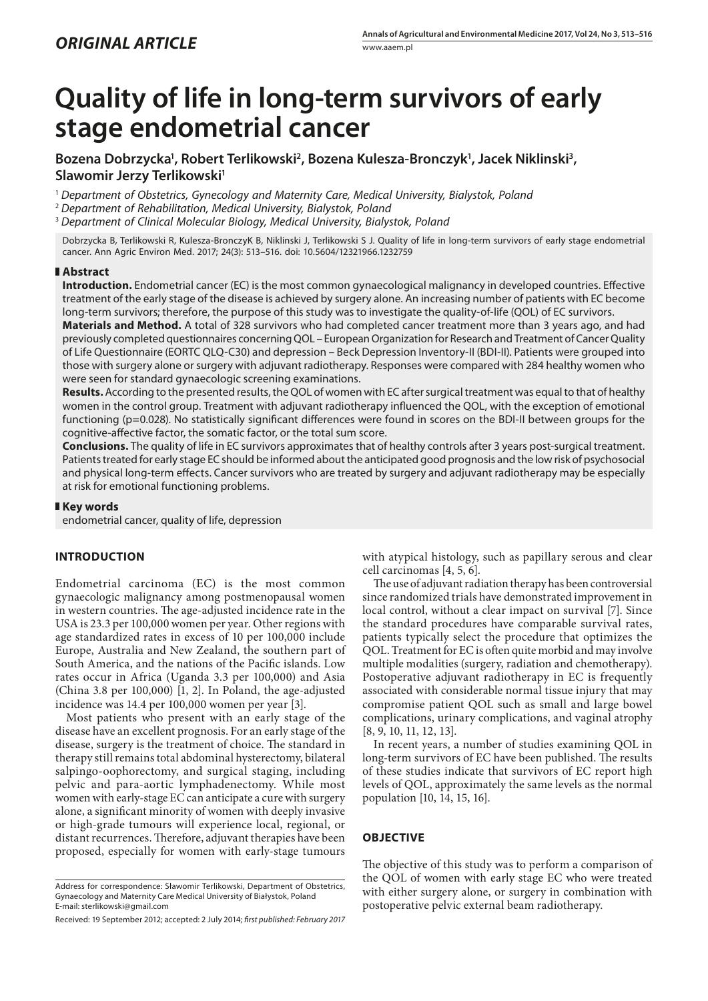# **Quality of life in long-term survivors of early stage endometrial cancer**

Bozena Dobrzycka<sup>1</sup>, Robert Terlikowski<sup>2</sup>, Bozena Kulesza-Bronczyk<sup>1</sup>, Jacek Niklinski<sup>3</sup>, **Slawomir Jerzy Terlikowski1**

<sup>1</sup> *Department of Obstetrics, Gynecology and Maternity Care, Medical University, Bialystok, Poland*

<sup>2</sup> *Department of Rehabilitation, Medical University, Bialystok, Poland*

<sup>3</sup> *Department of Clinical Molecular Biology, Medical University, Bialystok, Poland*

Dobrzycka B, Terlikowski R, Kulesza-BronczyK B, Niklinski J, Terlikowski S J. Quality of life in long-term survivors of early stage endometrial cancer. Ann Agric Environ Med. 2017; 24(3): 513–516. doi: 10.5604/12321966.1232759

#### **Abstract**

**Introduction.** Endometrial cancer (EC) is the most common gynaecological malignancy in developed countries. Effective treatment of the early stage of the disease is achieved by surgery alone. An increasing number of patients with EC become long-term survivors; therefore, the purpose of this study was to investigate the quality-of-life (QOL) of EC survivors.

**Materials and Method.** A total of 328 survivors who had completed cancer treatment more than 3 years ago, and had previously completed questionnaires concerning QOL – European Organization for Research and Treatment of Cancer Quality of Life Questionnaire (EORTC QLQ-C30) and depression – Beck Depression Inventory-II (BDI-II). Patients were grouped into those with surgery alone or surgery with adjuvant radiotherapy. Responses were compared with 284 healthy women who were seen for standard gynaecologic screening examinations.

**Results.** According to the presented results, the QOL of women with EC after surgical treatment was equal to that of healthy women in the control group. Treatment with adjuvant radiotherapy influenced the QOL, with the exception of emotional functioning (p=0.028). No statistically significant differences were found in scores on the BDI-II between groups for the cognitive-affective factor, the somatic factor, or the total sum score.

**Conclusions.** The quality of life in EC survivors approximates that of healthy controls after 3 years post-surgical treatment. Patients treated for early stage EC should be informed about the anticipated good prognosis and the low risk of psychosocial and physical long-term effects. Cancer survivors who are treated by surgery and adjuvant radiotherapy may be especially at risk for emotional functioning problems.

#### **Key words**

endometrial cancer, quality of life, depression

## **INTRODUCTION**

Endometrial carcinoma (EC) is the most common gynaecologic malignancy among postmenopausal women in western countries. The age-adjusted incidence rate in the USA is 23.3 per 100,000 women per year. Other regions with age standardized rates in excess of 10 per 100,000 include Europe, Australia and New Zealand, the southern part of South America, and the nations of the Pacific islands. Low rates occur in Africa (Uganda 3.3 per 100,000) and Asia (China 3.8 per 100,000) [1, 2]. In Poland, the age-adjusted incidence was 14.4 per 100,000 women per year [3].

Most patients who present with an early stage of the disease have an excellent prognosis. For an early stage of the disease, surgery is the treatment of choice. The standard in therapy still remains total abdominal hysterectomy, bilateral salpingo-oophorectomy, and surgical staging, including pelvic and para-aortic lymphadenectomy. While most women with early-stage EC can anticipate a cure with surgery alone, a significant minority of women with deeply invasive or high-grade tumours will experience local, regional, or distant recurrences. Therefore, adjuvant therapies have been proposed, especially for women with early-stage tumours with atypical histology, such as papillary serous and clear cell carcinomas [4, 5, 6].

The use of adjuvant radiation therapy has been controversial since randomized trials have demonstrated improvement in local control, without a clear impact on survival [7]. Since the standard procedures have comparable survival rates, patients typically select the procedure that optimizes the QOL. Treatment for EC is often quite morbid and may involve multiple modalities (surgery, radiation and chemotherapy). Postoperative adjuvant radiotherapy in EC is frequently associated with considerable normal tissue injury that may compromise patient QOL such as small and large bowel complications, urinary complications, and vaginal atrophy [8, 9, 10, 11, 12, 13].

In recent years, a number of studies examining QOL in long-term survivors of EC have been published. The results of these studies indicate that survivors of EC report high levels of QOL, approximately the same levels as the normal population [10, 14, 15, 16].

## **OBJECTIVE**

The objective of this study was to perform a comparison of the QOL of women with early stage EC who were treated with either surgery alone, or surgery in combination with postoperative pelvic external beam radiotherapy.

Address for correspondence: Sławomir Terlikowski, Department of Obstetrics, Gynaecology and Maternity Care Medical University of Białystok, Poland E-mail: [sterlikowski@gmail.com](mailto:sterlikowski@gmail.com)

Received: 19 September 2012; accepted: 2 July 2014; *first published: February 2017*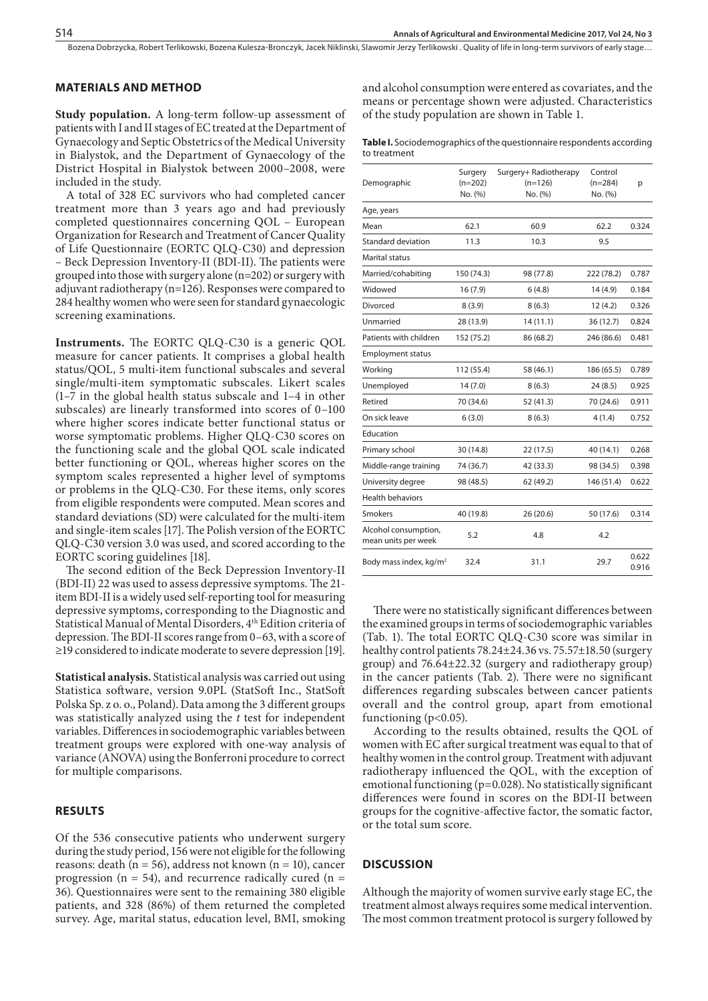Bozena Dobrzycka, Robert Terlikowski, Bozena Kulesza-Bronczyk, Jacek Niklinski, Slawomir Jerzy Terlikowski . Quality of life in long-term survivors of early stage…

#### **MATERIALS AND METHOD**

**Study population.** A long-term follow-up assessment of patients with I and II stages of EC treated at the Department of Gynaecology and Septic Obstetrics of the Medical University in Bialystok, and the Department of Gynaecology of the District Hospital in Bialystok between 2000–2008, were included in the study.

A total of 328 EC survivors who had completed cancer treatment more than 3 years ago and had previously completed questionnaires concerning QOL – European Organization for Research and Treatment of Cancer Quality of Life Questionnaire (EORTC QLQ-C30) and depression – Beck Depression Inventory-II (BDI-II). The patients were grouped into those with surgery alone (n=202) or surgery with adjuvant radiotherapy (n=126). Responses were compared to 284 healthy women who were seen for standard gynaecologic screening examinations.

**Instruments.** The EORTC QLQ-C30 is a generic QOL measure for cancer patients. It comprises a global health status/QOL, 5 multi-item functional subscales and several single/multi-item symptomatic subscales. Likert scales (1–7 in the global health status subscale and 1–4 in other subscales) are linearly transformed into scores of 0–100 where higher scores indicate better functional status or worse symptomatic problems. Higher QLQ-C30 scores on the functioning scale and the global QOL scale indicated better functioning or QOL, whereas higher scores on the symptom scales represented a higher level of symptoms or problems in the QLQ-C30. For these items, only scores from eligible respondents were computed. Mean scores and standard deviations (SD) were calculated for the multi-item and single-item scales [17]. The Polish version of the EORTC QLQ-C30 version 3.0 was used, and scored according to the EORTC scoring guidelines [18].

The second edition of the Beck Depression Inventory-II (BDI-II) 22 was used to assess depressive symptoms. The 21 item BDI-II is a widely used self-reporting tool for measuring depressive symptoms, corresponding to the Diagnostic and Statistical Manual of Mental Disorders, 4<sup>th</sup> Edition criteria of depression. The BDI-II scores range from 0–63, with a score of ≥19 considered to indicate moderate to severe depression [19].

**Statistical analysis.** Statistical analysis was carried out using Statistica software, version 9.0PL (StatSoft Inc., StatSoft Polska Sp. z o. o., Poland). Data among the 3 different groups was statistically analyzed using the *t* test for independent variables. Differences in sociodemographic variables between treatment groups were explored with one-way analysis of variance (ANOVA) using the Bonferroni procedure to correct for multiple comparisons.

## **RESULTS**

Of the 536 consecutive patients who underwent surgery during the study period, 156 were not eligible for the following reasons: death ( $n = 56$ ), address not known ( $n = 10$ ), cancer progression ( $n = 54$ ), and recurrence radically cured ( $n =$ 36). Questionnaires were sent to the remaining 380 eligible patients, and 328 (86%) of them returned the completed survey. Age, marital status, education level, BMI, smoking and alcohol consumption were entered as covariates, and the means or percentage shown were adjusted. Characteristics of the study population are shown in Table 1.

**Table I.** Sociodemographics of the questionnaire respondents according to treatment

| Demographic                                 | Surgery<br>$(n=202)$<br>No. (%) | Surgery+ Radiotherapy<br>$(n=126)$<br>No. (%) | Control<br>$(n=284)$<br>No. (%) | p              |
|---------------------------------------------|---------------------------------|-----------------------------------------------|---------------------------------|----------------|
| Age, years                                  |                                 |                                               |                                 |                |
| Mean                                        | 62.1                            | 60.9                                          | 62.2                            | 0.324          |
| Standard deviation                          | 11.3                            | 10.3                                          | 9.5                             |                |
| Marital status                              |                                 |                                               |                                 |                |
| Married/cohabiting                          | 150 (74.3)                      | 98 (77.8)                                     | 222 (78.2)                      | 0.787          |
| Widowed                                     | 16(7.9)                         | 6(4.8)                                        | 14 (4.9)                        | 0.184          |
| Divorced                                    | 8(3.9)                          | 8(6.3)                                        | 12(4.2)                         | 0.326          |
| Unmarried                                   | 28 (13.9)                       | 14(11.1)                                      | 36 (12.7)                       | 0.824          |
| Patients with children                      | 152 (75.2)                      | 86 (68.2)                                     | 246 (86.6)                      | 0.481          |
| <b>Employment status</b>                    |                                 |                                               |                                 |                |
| Working                                     | 112 (55.4)                      | 58 (46.1)                                     | 186 (65.5)                      | 0.789          |
| Unemployed                                  | 14(7.0)                         | 8(6.3)                                        | 24(8.5)                         | 0.925          |
| Retired                                     | 70 (34.6)                       | 52 (41.3)                                     | 70 (24.6)                       | 0.911          |
| On sick leave                               | 6(3.0)                          | 8(6.3)                                        | 4(1.4)                          | 0.752          |
| Education                                   |                                 |                                               |                                 |                |
| Primary school                              | 30 (14.8)                       | 22(17.5)                                      | 40 (14.1)                       | 0.268          |
| Middle-range training                       | 74 (36.7)                       | 42 (33.3)                                     | 98 (34.5)                       | 0.398          |
| University degree                           | 98 (48.5)                       | 62 (49.2)                                     | 146 (51.4)                      | 0.622          |
| <b>Health behaviors</b>                     |                                 |                                               |                                 |                |
| Smokers                                     | 40 (19.8)                       | 26(20.6)                                      | 50 (17.6)                       | 0.314          |
| Alcohol consumption,<br>mean units per week | 5.2                             | 4.8                                           | 4.2                             |                |
| Body mass index, kg/m <sup>2</sup>          | 32.4                            | 31.1                                          | 29.7                            | 0.622<br>0.916 |

There were no statistically significant differences between the examined groups in terms of sociodemographic variables (Tab. 1). The total EORTC QLQ-C30 score was similar in healthy control patients 78.24±24.36 vs. 75.57±18.50 (surgery group) and 76.64±22.32 (surgery and radiotherapy group) in the cancer patients (Tab. 2). There were no significant differences regarding subscales between cancer patients overall and the control group, apart from emotional functioning ( $p<0.05$ ).

According to the results obtained, results the QOL of women with EC after surgical treatment was equal to that of healthy women in the control group. Treatment with adjuvant radiotherapy influenced the QOL, with the exception of emotional functioning (p=0.028). No statistically significant differences were found in scores on the BDI-II between groups for the cognitive-affective factor, the somatic factor, or the total sum score.

## **DISCUSSION**

Although the majority of women survive early stage EC, the treatment almost always requires some medical intervention. The most common treatment protocol is surgery followed by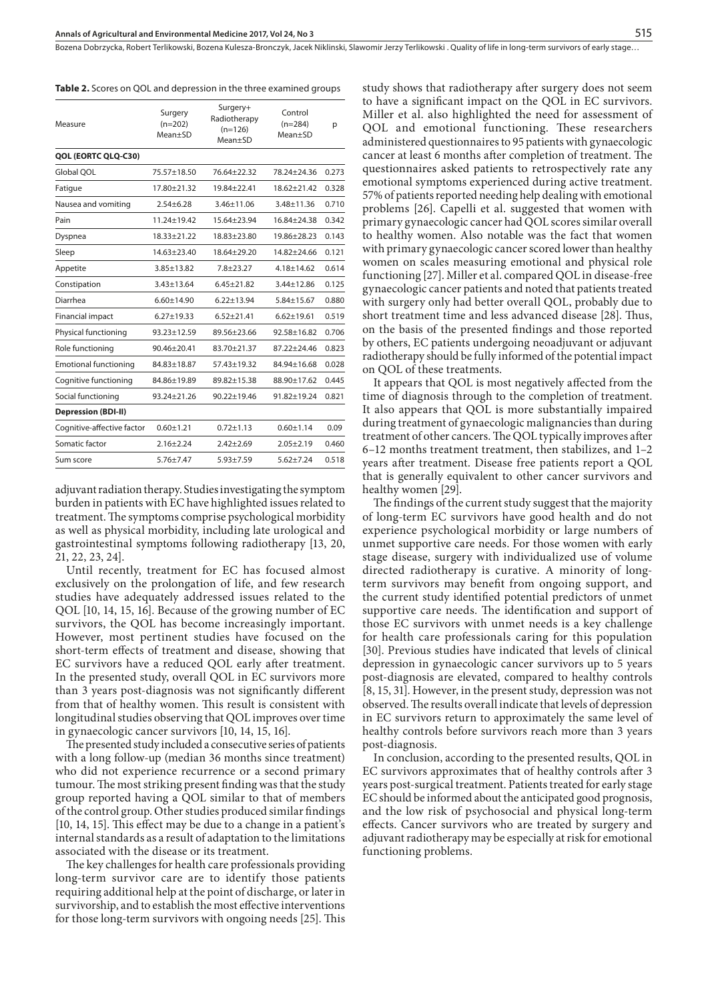Bozena Dobrzycka, Robert Terlikowski, Bozena Kulesza-Bronczyk, Jacek Niklinski, Slawomir Jerzy Terlikowski . Quality of life in long-term survivors of early stage…

|  |  |  |  |  |  |  |  |  |  |  |  |  |  | <b>Table 2.</b> Scores on QOL and depression in the three examined groups |
|--|--|--|--|--|--|--|--|--|--|--|--|--|--|---------------------------------------------------------------------------|
|--|--|--|--|--|--|--|--|--|--|--|--|--|--|---------------------------------------------------------------------------|

| Measure                      | Surgery<br>$(n=202)$<br>Mean+SD | Surgery+<br>Radiotherapy<br>$(n=126)$<br>Mean+SD | Control<br>$(n=284)$<br>Mean+SD | р     |  |
|------------------------------|---------------------------------|--------------------------------------------------|---------------------------------|-------|--|
| QOL (EORTC QLQ-C30)          |                                 |                                                  |                                 |       |  |
| Global OOL                   | 75.57±18.50                     | 76.64±22.32                                      | 78.24±24.36                     | 0.273 |  |
| Fatigue                      | $17.80 + 21.32$                 | 19.84+22.41                                      | $18.62 + 21.42$                 | 0.328 |  |
| Nausea and vomiting          | $2.54 \pm 6.28$                 | $3.46 \pm 11.06$                                 | 3.48±11.36                      | 0.710 |  |
| Pain                         | $11.24 + 19.42$                 | $15.64 + 23.94$                                  | $16.84 + 24.38$                 | 0.342 |  |
| Dyspnea                      | $18.33 + 21.22$                 | 18.83+23.80                                      | $19.86 + 28.23$                 | 0.143 |  |
| Sleep                        | $14.63 + 23.40$                 | $18.64 + 29.20$                                  | $14.82 + 24.66$                 | 0.121 |  |
| Appetite                     | $3.85 \pm 13.82$                | $7.8 + 23.27$                                    | $4.18 \pm 14.62$                | 0.614 |  |
| Constipation                 | $3.43 \pm 13.64$                | $6.45 + 21.82$                                   | 3.44±12.86                      | 0.125 |  |
| Diarrhea                     | $6.60 \pm 14.90$                | $6.22 \pm 13.94$                                 | 5.84±15.67                      | 0.880 |  |
| Financial impact             | $6.27 + 19.33$                  | $6.52 + 21.41$                                   | $6.62 + 19.61$                  | 0.519 |  |
| Physical functioning         | 93.23±12.59                     | 89.56±23.66                                      | 92.58±16.82                     | 0.706 |  |
| Role functioning             | 90.46±20.41                     | 83.70±21.37                                      | $87.22 + 24.46$                 | 0.823 |  |
| <b>Emotional functioning</b> | 84.83±18.87                     | 57.43±19.32                                      | 84.94±16.68                     | 0.028 |  |
| Cognitive functioning        | 84.86±19.89                     | 89.82±15.38                                      | 88.90±17.62                     | 0.445 |  |
| Social functioning           | 93.24±21.26                     | 90.22±19.46                                      | 91.82±19.24                     | 0.821 |  |
| <b>Depression (BDI-II)</b>   |                                 |                                                  |                                 |       |  |
| Cognitive-affective factor   | $0.60 \pm 1.21$                 | $0.72 \pm 1.13$                                  | $0.60 \pm 1.14$                 | 0.09  |  |
| Somatic factor               | $2.16 + 2.24$                   | $2.42 \pm 2.69$                                  | $2.05 + 2.19$                   | 0.460 |  |
| Sum score                    | $5.76 + 7.47$                   | $5.93 + 7.59$                                    | $5.62 + 7.24$                   | 0.518 |  |

adjuvant radiation therapy. Studies investigating the symptom burden in patients with EC have highlighted issues related to treatment. The symptoms comprise psychological morbidity as well as physical morbidity, including late urological and gastrointestinal symptoms following radiotherapy [13, 20, 21, 22, 23, 24].

Until recently, treatment for EC has focused almost exclusively on the prolongation of life, and few research studies have adequately addressed issues related to the QOL [10, 14, 15, 16]. Because of the growing number of EC survivors, the QOL has become increasingly important. However, most pertinent studies have focused on the short-term effects of treatment and disease, showing that EC survivors have a reduced QOL early after treatment. In the presented study, overall QOL in EC survivors more than 3 years post-diagnosis was not significantly different from that of healthy women. This result is consistent with longitudinal studies observing that QOL improves over time in gynaecologic cancer survivors [10, 14, 15, 16].

The presented study included a consecutive series of patients with a long follow-up (median 36 months since treatment) who did not experience recurrence or a second primary tumour. The most striking present finding was that the study group reported having a QOL similar to that of members of the control group. Other studies produced similar findings [10, 14, 15]. This effect may be due to a change in a patient's internal standards as a result of adaptation to the limitations associated with the disease or its treatment.

The key challenges for health care professionals providing long-term survivor care are to identify those patients requiring additional help at the point of discharge, or later in survivorship, and to establish the most effective interventions for those long-term survivors with ongoing needs [25]. This study shows that radiotherapy after surgery does not seem to have a significant impact on the QOL in EC survivors. Miller et al. also highlighted the need for assessment of QOL and emotional functioning. These researchers administered questionnaires to 95 patients with gynaecologic cancer at least 6 months after completion of treatment. The questionnaires asked patients to retrospectively rate any emotional symptoms experienced during active treatment. 57% of patients reported needing help dealing with emotional problems [26]. Capelli et al. suggested that women with primary gynaecologic cancer had QOL scores similar overall to healthy women. Also notable was the fact that women with primary gynaecologic cancer scored lower than healthy women on scales measuring emotional and physical role functioning [27]. Miller et al. compared QOL in disease-free gynaecologic cancer patients and noted that patients treated with surgery only had better overall QOL, probably due to short treatment time and less advanced disease [28]. Thus, on the basis of the presented findings and those reported by others, EC patients undergoing neoadjuvant or adjuvant radiotherapy should be fully informed of the potential impact on QOL of these treatments.

It appears that QOL is most negatively affected from the time of diagnosis through to the completion of treatment. It also appears that QOL is more substantially impaired during treatment of gynaecologic malignancies than during treatment of other cancers. The QOL typically improves after 6–12 months treatment treatment, then stabilizes, and 1–2 years after treatment. Disease free patients report a QOL that is generally equivalent to other cancer survivors and healthy women [29].

The findings of the current study suggest that the majority of long-term EC survivors have good health and do not experience psychological morbidity or large numbers of unmet supportive care needs. For those women with early stage disease, surgery with individualized use of volume directed radiotherapy is curative. A minority of longterm survivors may benefit from ongoing support, and the current study identified potential predictors of unmet supportive care needs. The identification and support of those EC survivors with unmet needs is a key challenge for health care professionals caring for this population [30]. Previous studies have indicated that levels of clinical depression in gynaecologic cancer survivors up to 5 years post-diagnosis are elevated, compared to healthy controls [8, 15, 31]. However, in the present study, depression was not observed. The results overall indicate that levels of depression in EC survivors return to approximately the same level of healthy controls before survivors reach more than 3 years post-diagnosis.

In conclusion, according to the presented results, QOL in EC survivors approximates that of healthy controls after 3 years post-surgical treatment. Patients treated for early stage EC should be informed about the anticipated good prognosis, and the low risk of psychosocial and physical long-term effects. Cancer survivors who are treated by surgery and adjuvant radiotherapy may be especially at risk for emotional functioning problems.